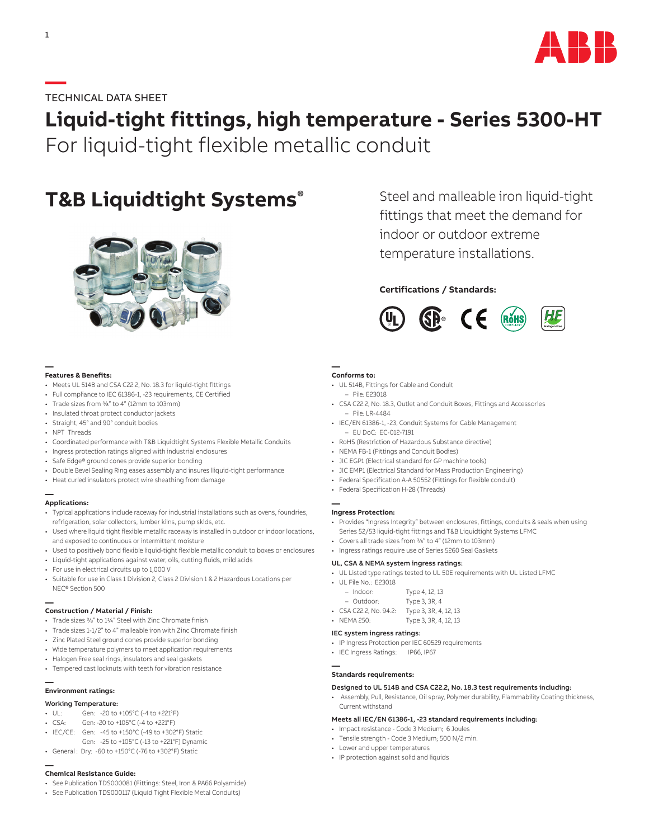

# **—**TECHNICAL DATA SHEET

# **Liquid-tight fittings, high temperature - Series 5300-HT** For liquid-tight flexible metallic conduit

# **T&B Liquidtight Systems®**



**— Features & Benefits:**

- Meets UL 514B and CSA C22.2, No. 18.3 for liquid-tight fittings
- Full compliance to IEC 61386-1, -23 requirements, CE Certified
- Trade sizes from 3/8" to 4" (12mm to 103mm)
- Insulated throat protect conductor jackets
- Straight, 45° and 90° conduit bodies
- NPT Threads
- Coordinated performance with T&B Liquidtight Systems Flexible Metallic Conduits
- Ingress protection ratings aligned with industrial enclosures
- Safe Edge® ground cones provide superior bonding
- Double Bevel Sealing Ring eases assembly and insures lliquid-tight performance
- Heat curled insulators protect wire sheathing from damage

### **— Applications:**

- Typical applications include raceway for industrial installations such as ovens, foundries, refrigeration, solar collectors, lumber kilns, pump skids, etc.
- Used where liquid tight flexible metallic raceway is installed in outdoor or indoor locations, and exposed to continuous or intermittent moisture
- Used to positively bond flexible liquid-tight flexible metallic conduit to boxes or enclosures
- Liquid-tight applications against water, oils, cutting fluids, mild acids
- For use in electrical circuits up to 1,000 V
- Suitable for use in Class 1 Division 2, Class 2 Division 1 & 2 Hazardous Locations per NEC® Section 500

# **— Construction / Material / Finish:**

- Trade sizes 3/8" to 11/4" Steel with Zinc Chromate finish
- Trade sizes 1-1/2" to 4" malleable iron with Zinc Chromate finish
- Zinc Plated Steel ground cones provide superior bonding
- Wide temperature polymers to meet application requirements
- Halogen Free seal rings, insulators and seal gaskets
- Tempered cast locknuts with teeth for vibration resistance

### **— Environment ratings:**

### Working Temperature:

- UL: Gen: -20 to +105°C (-4 to +221°F)
- CSA: Gen: -20 to +105°C (-4 to +221°F)
- IEC/CE: Gen: -45 to +150°C (-49 to +302°F) Static
- xxx Gen: -25 to +105°C (-13 to +221°F) Dynamic
- General : Dry: -60 to +150°C (-76 to +302°F) Static

# **— Chemical Resistance Guide:**

- See Publication TDS000081 (Fittings: Steel, Iron & PA66 Polyamide)
- See Publication TDS000117 (Liquid Tight Flexible Metal Conduits)

Steel and malleable iron liquid-tight fittings that meet the demand for indoor or outdoor extreme temperature installations.

# **Certifications / Standards:**



# **— Conforms to:**

- UL 514B, Fittings for Cable and Conduit
- File: E23018
- CSA C22.2, No. 18.3, Outlet and Conduit Boxes, Fittings and Accessories – File: LR-4484
- IEC/EN 61386-1, -23, Conduit Systems for Cable Management
- EU DoC: EC-012-7191
- RoHS (Restriction of Hazardous Substance directive)
- NEMA FB-1 (Fittings and Conduit Bodies)
- JIC EGP1 (Electrical standard for GP machine tools)
- JIC EMP1 (Electrical Standard for Mass Production Engineering) • Federal Specification A-A 50552 (Fittings for flexible conduit)
- Federal Specification H-28 (Threads)
- 

#### **— Ingress Protection:**

- Provides "Ingress Integrity" between enclosures, fittings, conduits & seals when using Series 52/53 liquid-tight fittings and T&B Liquidtight Systems LFMC
- Covers all trade sizes from 3/8" to 4" (12mm to 103mm)
- Ingress ratings require use of Series 5260 Seal Gaskets

## UL, CSA & NEMA system ingress ratings:

• UL Listed type ratings tested to UL 50E requirements with UL Listed LFMC

| • UL File No.: E23018  |                       |
|------------------------|-----------------------|
| $-$ Indoor:            | Type 4, 12, 13        |
| - Outdoor:             | Type 3, 3R, 4         |
| • CSA C22.2, No. 94.2: | Type 3, 3R, 4, 12, 13 |

• NEMA 250: Type 3, 3R, 4, 12, 13

## IEC system ingress ratings:

- IP Ingress Protection per IEC 60529 requirements
- IEC Ingress Ratings: IP66, IP67

# **— Standards requirements:**

## Designed to UL 514B and CSA C22.2, No. 18.3 test requirements including:

• Assembly, Pull, Resistance, Oil spray, Polymer durability, Flammability Coating thickness, Current withstand

### Meets all IEC/EN 61386-1, -23 standard requirements including:

- Impact resistance Code 3 Medium; 6 Joules
- Tensile strength Code 3 Medium; 500 N/2 min.
- Lower and upper temperatures
- IP protection against solid and liquids